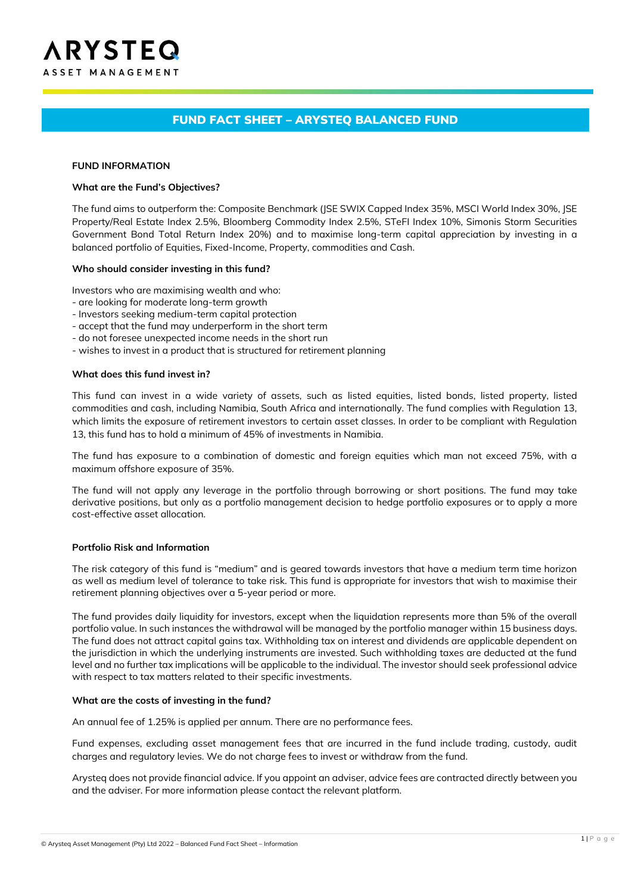# FUND FACT SHEET – ARYSTEQ BALANCED FUND

#### **FUND INFORMATION**

#### **What are the Fund's Objectives?**

The fund aims to outperform the: Composite Benchmark (JSE SWIX Capped Index 35%, MSCI World Index 30%, JSE Property/Real Estate Index 2.5%, Bloomberg Commodity Index 2.5%, STeFI Index 10%, Simonis Storm Securities Government Bond Total Return Index 20%) and to maximise long-term capital appreciation by investing in a balanced portfolio of Equities, Fixed-Income, Property, commodities and Cash.

#### **Who should consider investing in this fund?**

Investors who are maximising wealth and who:

- are looking for moderate long-term growth
- Investors seeking medium-term capital protection
- accept that the fund may underperform in the short term
- do not foresee unexpected income needs in the short run
- wishes to invest in a product that is structured for retirement planning

#### **What does this fund invest in?**

This fund can invest in a wide variety of assets, such as listed equities, listed bonds, listed property, listed commodities and cash, including Namibia, South Africa and internationally. The fund complies with Regulation 13, which limits the exposure of retirement investors to certain asset classes. In order to be compliant with Regulation 13, this fund has to hold a minimum of 45% of investments in Namibia.

The fund has exposure to a combination of domestic and foreign equities which man not exceed 75%, with a maximum offshore exposure of 35%.

The fund will not apply any leverage in the portfolio through borrowing or short positions. The fund may take derivative positions, but only as a portfolio management decision to hedge portfolio exposures or to apply a more cost-effective asset allocation.

### **Portfolio Risk and Information**

The risk category of this fund is "medium" and is geared towards investors that have a medium term time horizon as well as medium level of tolerance to take risk. This fund is appropriate for investors that wish to maximise their retirement planning objectives over a 5-year period or more.

The fund provides daily liquidity for investors, except when the liquidation represents more than 5% of the overall portfolio value. In such instances the withdrawal will be managed by the portfolio manager within 15 business days. The fund does not attract capital gains tax. Withholding tax on interest and dividends are applicable dependent on the jurisdiction in which the underlying instruments are invested. Such withholding taxes are deducted at the fund level and no further tax implications will be applicable to the individual. The investor should seek professional advice with respect to tax matters related to their specific investments.

#### **What are the costs of investing in the fund?**

An annual fee of 1.25% is applied per annum. There are no performance fees.

Fund expenses, excluding asset management fees that are incurred in the fund include trading, custody, audit charges and regulatory levies. We do not charge fees to invest or withdraw from the fund.

Arysteq does not provide financial advice. If you appoint an adviser, advice fees are contracted directly between you and the adviser. For more information please contact the relevant platform.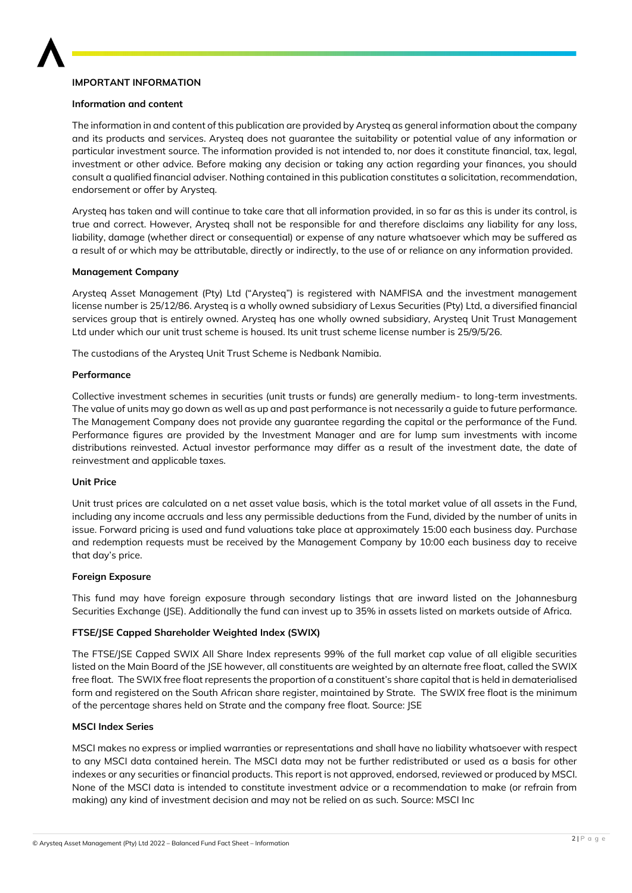

# **IMPORTANT INFORMATION**

### **Information and content**

The information in and content of this publication are provided by Arysteq as general information about the company and its products and services. Arysteq does not guarantee the suitability or potential value of any information or particular investment source. The information provided is not intended to, nor does it constitute financial, tax, legal, investment or other advice. Before making any decision or taking any action regarding your finances, you should consult a qualified financial adviser. Nothing contained in this publication constitutes a solicitation, recommendation, endorsement or offer by Arysteq.

Arysteq has taken and will continue to take care that all information provided, in so far as this is under its control, is true and correct. However, Arysteq shall not be responsible for and therefore disclaims any liability for any loss, liability, damage (whether direct or consequential) or expense of any nature whatsoever which may be suffered as a result of or which may be attributable, directly or indirectly, to the use of or reliance on any information provided.

### **Management Company**

Arysteq Asset Management (Pty) Ltd ("Arysteq") is registered with NAMFISA and the investment management license number is 25/12/86. Arysteq is a wholly owned subsidiary of Lexus Securities (Pty) Ltd, a diversified financial services group that is entirely owned. Arysteq has one wholly owned subsidiary, Arysteq Unit Trust Management Ltd under which our unit trust scheme is housed. Its unit trust scheme license number is 25/9/5/26.

The custodians of the Arysteq Unit Trust Scheme is Nedbank Namibia.

### **Performance**

Collective investment schemes in securities (unit trusts or funds) are generally medium- to long-term investments. The value of units may go down as well as up and past performance is not necessarily a guide to future performance. The Management Company does not provide any guarantee regarding the capital or the performance of the Fund. Performance figures are provided by the Investment Manager and are for lump sum investments with income distributions reinvested. Actual investor performance may differ as a result of the investment date, the date of reinvestment and applicable taxes.

### **Unit Price**

Unit trust prices are calculated on a net asset value basis, which is the total market value of all assets in the Fund, including any income accruals and less any permissible deductions from the Fund, divided by the number of units in issue. Forward pricing is used and fund valuations take place at approximately 15:00 each business day. Purchase and redemption requests must be received by the Management Company by 10:00 each business day to receive that day's price.

### **Foreign Exposure**

This fund may have foreign exposure through secondary listings that are inward listed on the Johannesburg Securities Exchange (JSE). Additionally the fund can invest up to 35% in assets listed on markets outside of Africa.

### **FTSE/JSE Capped Shareholder Weighted Index (SWIX)**

The FTSE/JSE Capped SWIX All Share Index represents 99% of the full market cap value of all eligible securities listed on the Main Board of the JSE however, all constituents are weighted by an alternate free float, called the SWIX free float. The SWIX free float represents the proportion of a constituent's share capital that is held in dematerialised form and registered on the South African share register, maintained by Strate. The SWIX free float is the minimum of the percentage shares held on Strate and the company free float. Source: JSE

### **MSCI Index Series**

MSCI makes no express or implied warranties or representations and shall have no liability whatsoever with respect to any MSCI data contained herein. The MSCI data may not be further redistributed or used as a basis for other indexes or any securities or financial products. This report is not approved, endorsed, reviewed or produced by MSCI. None of the MSCI data is intended to constitute investment advice or a recommendation to make (or refrain from making) any kind of investment decision and may not be relied on as such. Source: MSCI Inc